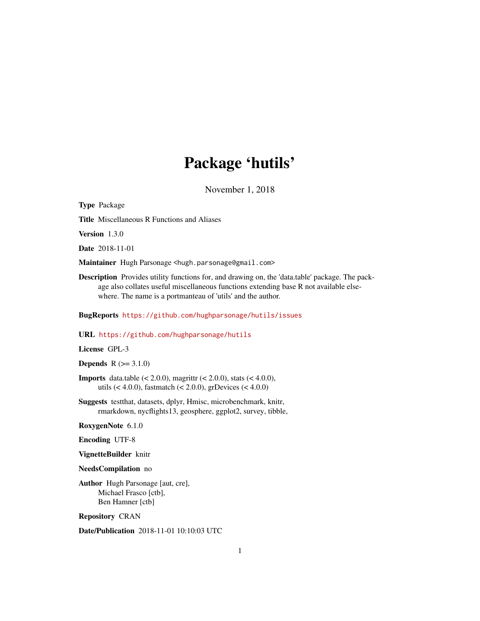# Package 'hutils'

November 1, 2018

<span id="page-0-0"></span>Type Package Title Miscellaneous R Functions and Aliases Version 1.3.0 Date 2018-11-01 Maintainer Hugh Parsonage <hugh.parsonage@gmail.com> Description Provides utility functions for, and drawing on, the 'data.table' package. The package also collates useful miscellaneous functions extending base R not available elsewhere. The name is a portmanteau of 'utils' and the author. BugReports <https://github.com/hughparsonage/hutils/issues>

URL <https://github.com/hughparsonage/hutils>

License GPL-3

**Depends**  $R$  ( $>= 3.1.0$ )

**Imports** data.table  $(< 2.0.0$ ), magrittr  $(< 2.0.0$ ), stats  $(< 4.0.0$ ), utils (< 4.0.0), fastmatch (< 2.0.0), grDevices (< 4.0.0)

Suggests testthat, datasets, dplyr, Hmisc, microbenchmark, knitr, rmarkdown, nycflights13, geosphere, ggplot2, survey, tibble,

RoxygenNote 6.1.0

Encoding UTF-8

VignetteBuilder knitr

NeedsCompilation no

Author Hugh Parsonage [aut, cre], Michael Frasco [ctb], Ben Hamner [ctb]

Repository CRAN

Date/Publication 2018-11-01 10:10:03 UTC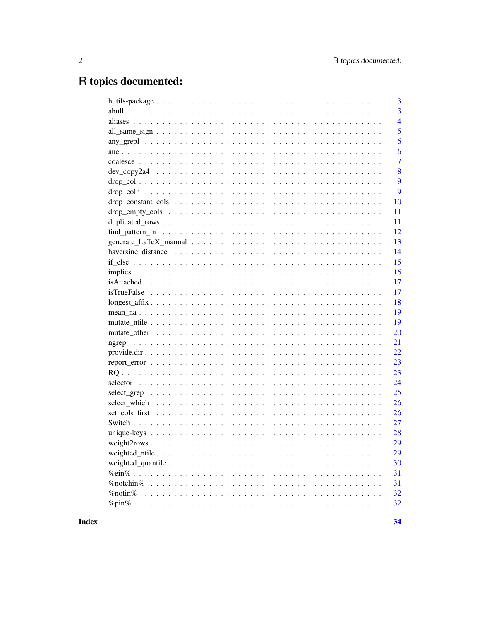# R topics documented:

| 3                       |
|-------------------------|
| $\overline{3}$          |
| $\overline{4}$          |
| 5                       |
| 6                       |
| 6                       |
| $\overline{7}$          |
| 8                       |
| 9                       |
| 9                       |
| 10                      |
| 11                      |
| 11                      |
| 12                      |
| 13                      |
| 14                      |
| 15                      |
| 16                      |
| 17                      |
| 17                      |
| 18                      |
| 19                      |
| 19                      |
| 20                      |
| 21                      |
| 22                      |
| 23                      |
| 23                      |
| 24                      |
| 25                      |
| 26                      |
| 26                      |
| 27                      |
| 28                      |
| 29                      |
| 29                      |
| 30                      |
| 31                      |
| 31<br>$\%$ notchin $\%$ |
| %notin%<br>32           |
| 32                      |
|                         |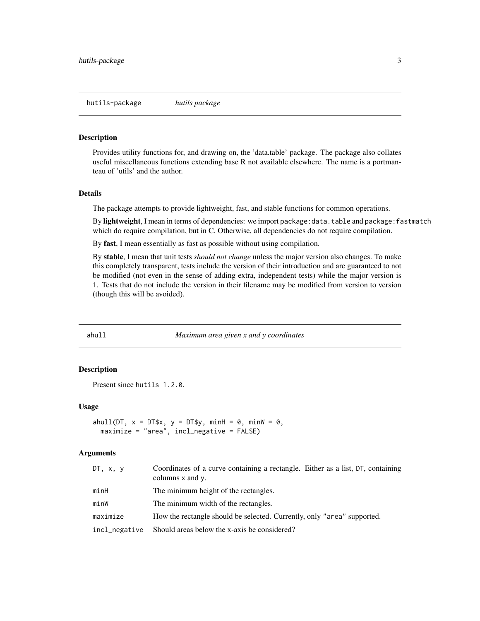<span id="page-2-0"></span>Provides utility functions for, and drawing on, the 'data.table' package. The package also collates useful miscellaneous functions extending base R not available elsewhere. The name is a portmanteau of 'utils' and the author.

#### Details

The package attempts to provide lightweight, fast, and stable functions for common operations.

By lightweight, I mean in terms of dependencies: we import package: data.table and package: fastmatch which do require compilation, but in C. Otherwise, all dependencies do not require compilation.

By fast, I mean essentially as fast as possible without using compilation.

By stable, I mean that unit tests *should not change* unless the major version also changes. To make this completely transparent, tests include the version of their introduction and are guaranteed to not be modified (not even in the sense of adding extra, independent tests) while the major version is 1. Tests that do not include the version in their filename may be modified from version to version (though this will be avoided).

ahull *Maximum area given x and y coordinates*

#### Description

Present since hutils 1.2.0.

#### Usage

```
ahull(DT, x = DT$x, y = DT$y, minH = 0, minW = 0,
 maximize = "area", incl_negative = FALSE)
```
### Arguments

| DT, x, y      | Coordinates of a curve containing a rectangle. Either as a list, DT, containing<br>columns x and y. |
|---------------|-----------------------------------------------------------------------------------------------------|
| minH          | The minimum height of the rectangles.                                                               |
| minW          | The minimum width of the rectangles.                                                                |
| maximize      | How the rectangle should be selected. Currently, only "area" supported.                             |
| incl_negative | Should areas below the x-axis be considered?                                                        |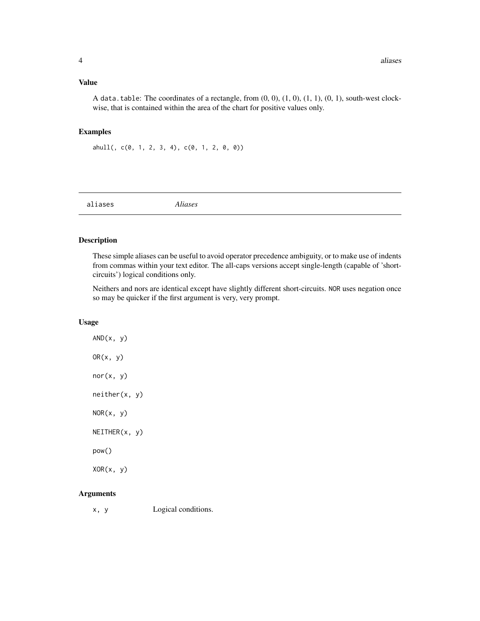<span id="page-3-0"></span>A data.table: The coordinates of a rectangle, from  $(0, 0)$ ,  $(1, 0)$ ,  $(1, 1)$ ,  $(0, 1)$ , south-west clockwise, that is contained within the area of the chart for positive values only.

#### Examples

ahull(,  $c(\emptyset, 1, 2, 3, 4)$ ,  $c(\emptyset, 1, 2, 0, 0)$ )

aliases *Aliases*

#### Description

These simple aliases can be useful to avoid operator precedence ambiguity, or to make use of indents from commas within your text editor. The all-caps versions accept single-length (capable of 'shortcircuits') logical conditions only.

Neithers and nors are identical except have slightly different short-circuits. NOR uses negation once so may be quicker if the first argument is very, very prompt.

#### Usage

 $AND(x, y)$  $OR(x, y)$  $nor(x, y)$ neither(x, y)  $NOR(x, y)$ NEITHER(x, y) pow()  $XOR(x, y)$ 

#### Arguments

x, y Logical conditions.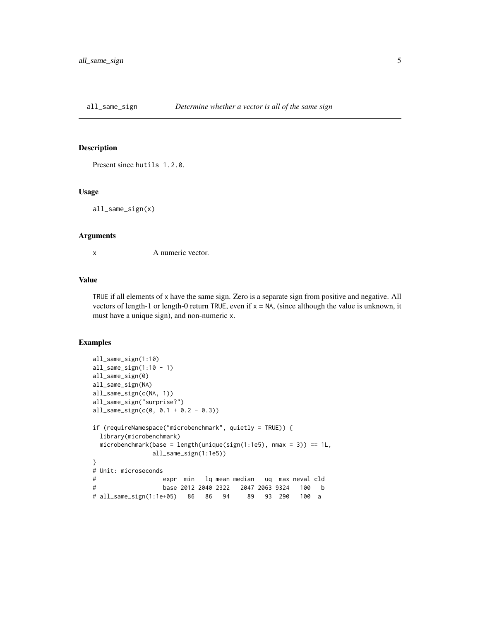<span id="page-4-0"></span>all\_same\_sign *Determine whether a vector is all of the same sign*

### Description

Present since hutils 1.2.0.

#### Usage

all\_same\_sign(x)

#### Arguments

x A numeric vector.

#### Value

TRUE if all elements of x have the same sign. Zero is a separate sign from positive and negative. All vectors of length-1 or length-0 return TRUE, even if  $x = NA$ , (since although the value is unknown, it must have a unique sign), and non-numeric x.

#### Examples

```
all_same_sign(1:10)
all\_same\_sign(1:10 - 1)all_same_sign(0)
all_same_sign(NA)
all_same_sign(c(NA, 1))
all_same_sign("surprise?")
all_same_sign(c(0, 0.1 + 0.2 - 0.3))
if (requireNamespace("microbenchmark", quietly = TRUE)) {
 library(microbenchmark)
 microbenchmark(base = length(unique(sign(1:1e5), nmax = 3)) == 1L,
               all_same_sign(1:1e5))
}
# Unit: microseconds
# expr min lq mean median uq max neval cld
# base 2012 2040 2322 2047 2063 9324 100 b
# all_same_sign(1:1e+05) 86 86 94 89 93 290 100 a
```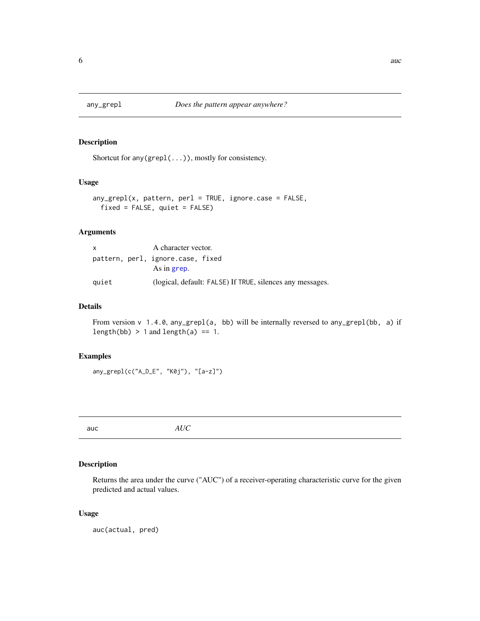<span id="page-5-0"></span>

Shortcut for any(grepl(...)), mostly for consistency.

### Usage

```
any_grepl(x, pattern, perl = TRUE, ignore.case = FALSE,
 fixed = FALSE, quiet = FALSE)
```
### Arguments

| X     | A character vector.                                       |
|-------|-----------------------------------------------------------|
|       | pattern, perl, ignore.case, fixed                         |
|       | As in grep.                                               |
| quiet | (logical, default: FALSE) If TRUE, silences any messages. |

### Details

From version v 1.4.0, any\_grepl(a, bb) will be internally reversed to any\_grepl(bb, a) if length(bb)  $> 1$  and length(a) == 1.

#### Examples

```
any_grepl(c("A_D_E", "K0j"), "[a-z]")
```
auc *AUC*

### Description

Returns the area under the curve ("AUC") of a receiver-operating characteristic curve for the given predicted and actual values.

### Usage

auc(actual, pred)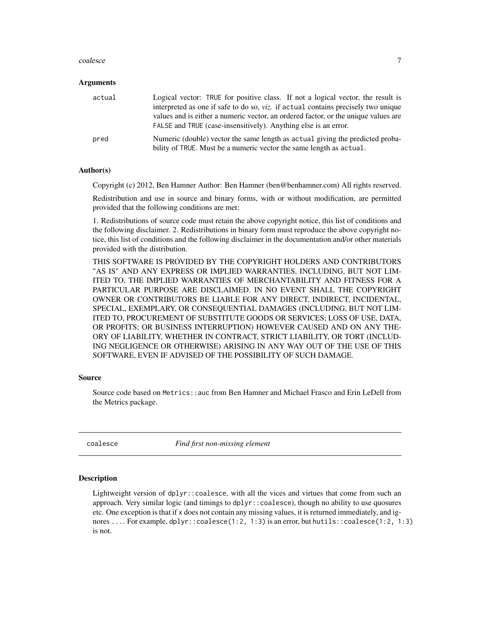#### <span id="page-6-0"></span>coalesce 7

#### Arguments

| actual | Logical vector: TRUE for positive class. If not a logical vector, the result is<br>interpreted as one if safe to do so, <i>viz</i> . if actual contains precisely two unique<br>values and is either a numeric vector, an ordered factor, or the unique values are<br>FALSE and TRUE (case-insensitively). Anything else is an error. |
|--------|---------------------------------------------------------------------------------------------------------------------------------------------------------------------------------------------------------------------------------------------------------------------------------------------------------------------------------------|
| pred   | Numeric (double) vector the same length as actual giving the predicted proba-<br>bility of TRUE. Must be a numeric vector the same length as actual.                                                                                                                                                                                  |

#### Author(s)

Copyright (c) 2012, Ben Hamner Author: Ben Hamner (ben@benhamner.com) All rights reserved.

Redistribution and use in source and binary forms, with or without modification, are permitted provided that the following conditions are met:

1. Redistributions of source code must retain the above copyright notice, this list of conditions and the following disclaimer. 2. Redistributions in binary form must reproduce the above copyright notice, this list of conditions and the following disclaimer in the documentation and/or other materials provided with the distribution.

THIS SOFTWARE IS PROVIDED BY THE COPYRIGHT HOLDERS AND CONTRIBUTORS "AS IS" AND ANY EXPRESS OR IMPLIED WARRANTIES, INCLUDING, BUT NOT LIM-ITED TO, THE IMPLIED WARRANTIES OF MERCHANTABILITY AND FITNESS FOR A PARTICULAR PURPOSE ARE DISCLAIMED. IN NO EVENT SHALL THE COPYRIGHT OWNER OR CONTRIBUTORS BE LIABLE FOR ANY DIRECT, INDIRECT, INCIDENTAL, SPECIAL, EXEMPLARY, OR CONSEQUENTIAL DAMAGES (INCLUDING, BUT NOT LIM-ITED TO, PROCUREMENT OF SUBSTITUTE GOODS OR SERVICES; LOSS OF USE, DATA, OR PROFITS; OR BUSINESS INTERRUPTION) HOWEVER CAUSED AND ON ANY THE-ORY OF LIABILITY, WHETHER IN CONTRACT, STRICT LIABILITY, OR TORT (INCLUD-ING NEGLIGENCE OR OTHERWISE) ARISING IN ANY WAY OUT OF THE USE OF THIS SOFTWARE, EVEN IF ADVISED OF THE POSSIBILITY OF SUCH DAMAGE.

#### Source

Source code based on Metrics::auc from Ben Hamner and Michael Frasco and Erin LeDell from the Metrics package.

coalesce *Find first non-missing element*

#### Description

Lightweight version of dplyr::coalesce, with all the vices and virtues that come from such an approach. Very similar logic (and timings to dplyr::coalesce), though no ability to use quosures etc. One exception is that if x does not contain any missing values, it is returned immediately, and ignores .... For example, dplyr::coalesce(1:2, 1:3) is an error, but hutils::coalesce(1:2, 1:3) is not.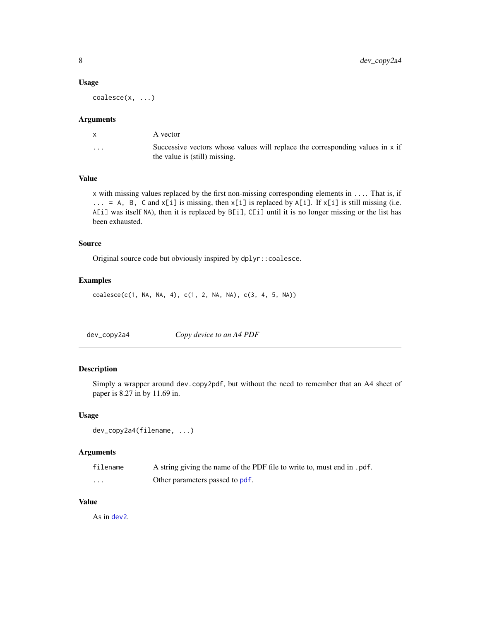#### <span id="page-7-0"></span>Usage

coalesce(x, ...)

#### Arguments

|          | A vector                                                                                                       |
|----------|----------------------------------------------------------------------------------------------------------------|
| $\cdots$ | Successive vectors whose values will replace the corresponding values in x if<br>the value is (still) missing. |

### Value

x with missing values replaced by the first non-missing corresponding elements in .... That is, if ... = A, B, C and x[i] is missing, then x[i] is replaced by A[i]. If x[i] is still missing (i.e. A[i] was itself NA), then it is replaced by B[i], C[i] until it is no longer missing or the list has been exhausted.

#### Source

Original source code but obviously inspired by dplyr::coalesce.

### Examples

coalesce(c(1, NA, NA, 4), c(1, 2, NA, NA), c(3, 4, 5, NA))

dev\_copy2a4 *Copy device to an A4 PDF*

### Description

Simply a wrapper around dev.copy2pdf, but without the need to remember that an A4 sheet of paper is 8.27 in by 11.69 in.

#### Usage

```
dev_copy2a4(filename, ...)
```
### Arguments

| filename | A string giving the name of the PDF file to write to, must end in .pdf. |
|----------|-------------------------------------------------------------------------|
| $\cdots$ | Other parameters passed to pdf.                                         |

### Value

As in [dev2](#page-0-0).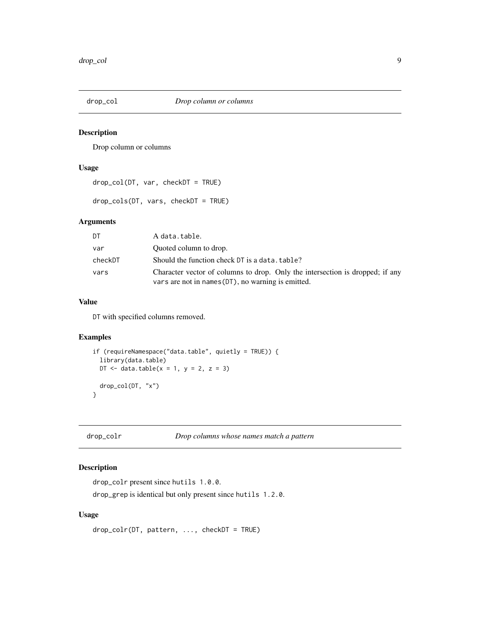<span id="page-8-0"></span>

Drop column or columns

### Usage

```
drop_col(DT, var, checkDT = TRUE)
```

```
drop_cols(DT, vars, checkDT = TRUE)
```
### Arguments

| DT      | A data.table.                                                                                                                       |
|---------|-------------------------------------------------------------------------------------------------------------------------------------|
| var     | Quoted column to drop.                                                                                                              |
| checkDT | Should the function check DT is a data, table?                                                                                      |
| vars    | Character vector of columns to drop. Only the intersection is dropped; if any<br>vars are not in names (DT), no warning is emitted. |

### Value

DT with specified columns removed.

### Examples

```
if (requireNamespace("data.table", quietly = TRUE)) {
  library(data.table)
  DT \le data.table(x = 1, y = 2, z = 3)
  drop_col(DT, "x")
}
```
drop\_colr *Drop columns whose names match a pattern*

#### Description

```
drop_colr present since hutils 1.0.0.
```
drop\_grep is identical but only present since hutils 1.2.0.

#### Usage

```
drop_colr(DT, pattern, ..., checkDT = TRUE)
```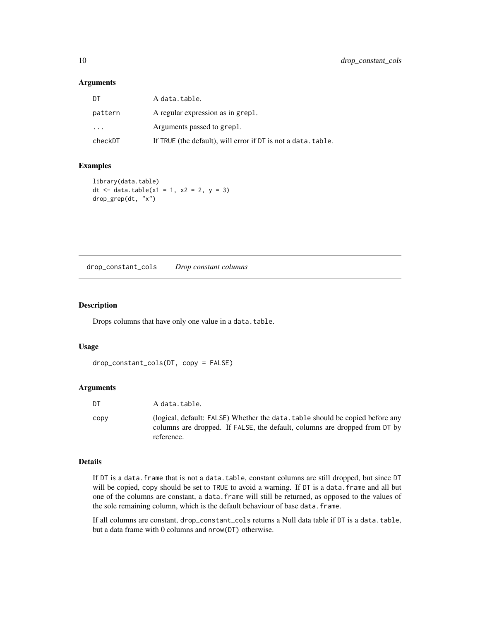### <span id="page-9-0"></span>Arguments

| DT        | A data.table.                                                 |
|-----------|---------------------------------------------------------------|
| pattern   | A regular expression as in grepl.                             |
| $\ddotsc$ | Arguments passed to grepl.                                    |
| checkDT   | If TRUE (the default), will error if DT is not a data, table. |

### Examples

```
library(data.table)
dt <- data.table(x1 = 1, x2 = 2, y = 3)
drop_grep(dt, "x")
```
drop\_constant\_cols *Drop constant columns*

#### Description

Drops columns that have only one value in a data.table.

#### Usage

```
drop_constant_cols(DT, copy = FALSE)
```
### Arguments

| DT   | A data.table.                                                                                                                                                             |
|------|---------------------------------------------------------------------------------------------------------------------------------------------------------------------------|
| CODV | (logical, default: FALSE) Whether the data, table should be copied before any<br>columns are dropped. If FALSE, the default, columns are dropped from DT by<br>reference. |

### Details

If DT is a data.frame that is not a data.table, constant columns are still dropped, but since DT will be copied, copy should be set to TRUE to avoid a warning. If DT is a data. frame and all but one of the columns are constant, a data.frame will still be returned, as opposed to the values of the sole remaining column, which is the default behaviour of base data.frame.

If all columns are constant, drop\_constant\_cols returns a Null data table if DT is a data.table, but a data frame with 0 columns and nrow(DT) otherwise.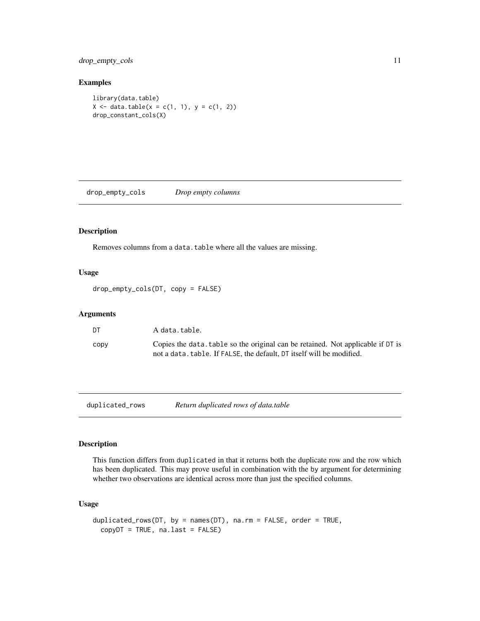<span id="page-10-0"></span>drop\_empty\_cols 11

#### Examples

library(data.table)  $X \le -$  data.table( $x = c(1, 1), y = c(1, 2)$ ) drop\_constant\_cols(X)

drop\_empty\_cols *Drop empty columns*

#### Description

Removes columns from a data.table where all the values are missing.

### Usage

drop\_empty\_cols(DT, copy = FALSE)

#### Arguments

| - DT | A data.table.                                                                                                                                            |
|------|----------------------------------------------------------------------------------------------------------------------------------------------------------|
| CODV | Copies the data, table so the original can be retained. Not applicable if DT is<br>not a data, table. If FALSE, the default, DT itself will be modified. |

duplicated\_rows *Return duplicated rows of data.table*

### Description

This function differs from duplicated in that it returns both the duplicate row and the row which has been duplicated. This may prove useful in combination with the by argument for determining whether two observations are identical across more than just the specified columns.

### Usage

```
duplicated_rows(DT, by = names(DT), na.rm = FALSE, order = TRUE,
  copyDT = TRUE, na.last = FALSE)
```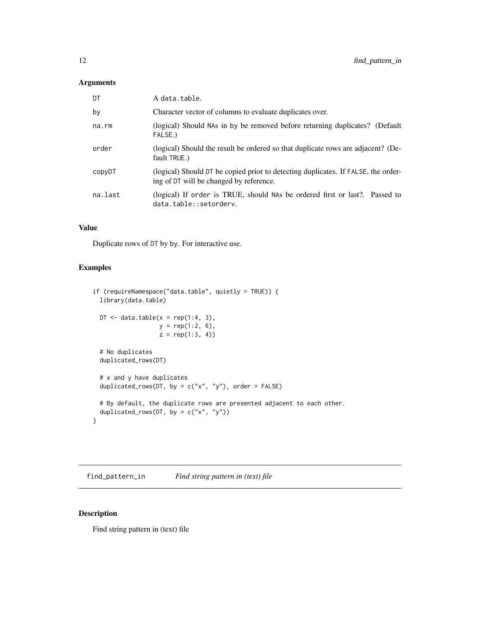### <span id="page-11-0"></span>Arguments

| A data.table.                                                                                                                |
|------------------------------------------------------------------------------------------------------------------------------|
| Character vector of columns to evaluate duplicates over.                                                                     |
| (logical) Should NAs in by be removed before returning duplicates? (Default<br>FALSE.)                                       |
| (logical) Should the result be ordered so that duplicate rows are adjacent? (De-<br>fault TRUE.)                             |
| (logical) Should DT be copied prior to detecting duplicates. If FALSE, the order-<br>ing of DT will be changed by reference. |
| (logical) If order is TRUE, should NAs be ordered first or last?. Passed to<br>data.table::setordery.                        |
|                                                                                                                              |

### Value

Duplicate rows of DT by by. For interactive use.

### Examples

```
if (requireNamespace("data.table", quietly = TRUE)) {
 library(data.table)
 DT \leq data.table(x = rep(1:4, 3),
                  y = rep(1:2, 6),z = rep(1:3, 4)# No duplicates
 duplicated_rows(DT)
 # x and y have duplicates
 duplicated_rows(DT, by = c("x", "y"), order = FALSE)
 # By default, the duplicate rows are presented adjacent to each other.
 duplicated_rows(DT, by = c("x", "y"))
}
```
find\_pattern\_in *Find string pattern in (text) file*

### Description

Find string pattern in (text) file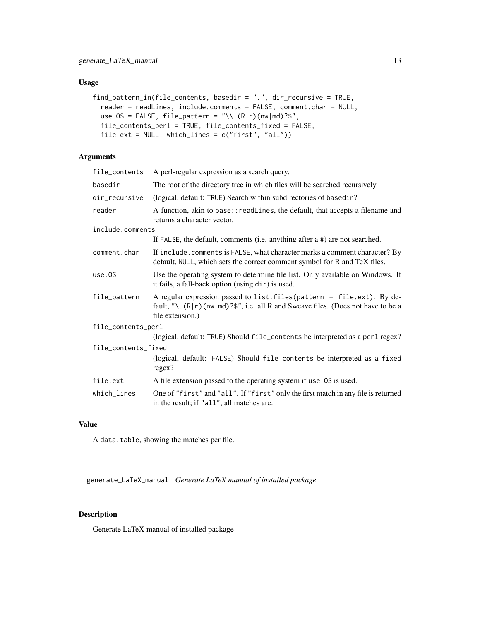### <span id="page-12-0"></span>Usage

```
find_pattern_in(file_contents, basedir = ".", dir_recursive = TRUE,
  reader = readLines, include.comments = FALSE, comment.char = NULL,
  use.OS = FALSE, file_pattern = "\wedge.(R|r)(nw|md)?$",
  file_contents_perl = TRUE, file_contents_fixed = FALSE,
  file.ext = NULL, which_lines = c("first", "all"))
```
### Arguments

| file_contents       | A perl-regular expression as a search query.                                                                                                                                         |  |
|---------------------|--------------------------------------------------------------------------------------------------------------------------------------------------------------------------------------|--|
| basedir             | The root of the directory tree in which files will be searched recursively.                                                                                                          |  |
| dir_recursive       | (logical, default: TRUE) Search within subdirectories of basedir?                                                                                                                    |  |
| reader              | A function, akin to base:: readLines, the default, that accepts a filename and<br>returns a character vector.                                                                        |  |
| include.comments    |                                                                                                                                                                                      |  |
|                     | If FALSE, the default, comments (i.e. anything after $a \#$ ) are not searched.                                                                                                      |  |
| comment.char        | If include.comments is FALSE, what character marks a comment character? By<br>default, NULL, which sets the correct comment symbol for R and TeX files.                              |  |
| use.0S              | Use the operating system to determine file list. Only available on Windows. If<br>it fails, a fall-back option (using dir) is used.                                                  |  |
| file_pattern        | A regular expression passed to list. files (pattern = file.ext). By de-<br>fault, "\. $(R   r)$ (nw md)?\$", i.e. all R and Sweave files. (Does not have to be a<br>file extension.) |  |
| file_contents_perl  |                                                                                                                                                                                      |  |
|                     | (logical, default: TRUE) Should file_contents be interpreted as a perl regex?                                                                                                        |  |
| file_contents_fixed |                                                                                                                                                                                      |  |
|                     | (logical, default: FALSE) Should file_contents be interpreted as a fixed<br>regex?                                                                                                   |  |
| file.ext            | A file extension passed to the operating system if use. OS is used.                                                                                                                  |  |
| which_lines         | One of "first" and "all". If "first" only the first match in any file is returned<br>in the result; if "all", all matches are.                                                       |  |

### Value

A data.table, showing the matches per file.

generate\_LaTeX\_manual *Generate LaTeX manual of installed package*

### Description

Generate LaTeX manual of installed package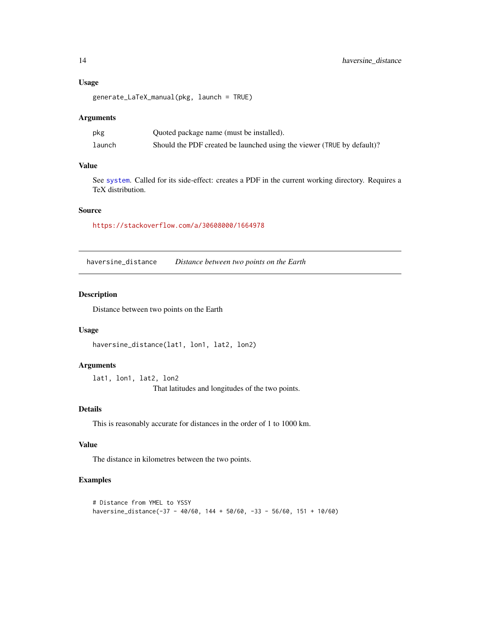#### <span id="page-13-0"></span>Usage

```
generate_LaTeX_manual(pkg, launch = TRUE)
```
#### Arguments

| pkg    | Quoted package name (must be installed).                               |
|--------|------------------------------------------------------------------------|
| launch | Should the PDF created be launched using the viewer (TRUE by default)? |

#### Value

See [system](#page-0-0). Called for its side-effect: creates a PDF in the current working directory. Requires a TeX distribution.

#### Source

<https://stackoverflow.com/a/30608000/1664978>

haversine\_distance *Distance between two points on the Earth*

#### Description

Distance between two points on the Earth

#### Usage

```
haversine_distance(lat1, lon1, lat2, lon2)
```
#### Arguments

lat1, lon1, lat2, lon2 That latitudes and longitudes of the two points.

#### Details

This is reasonably accurate for distances in the order of 1 to 1000 km.

#### Value

The distance in kilometres between the two points.

### Examples

```
# Distance from YMEL to YSSY
haversine_distance(-37 - 40/60, 144 + 50/60, -33 - 56/60, 151 + 10/60)
```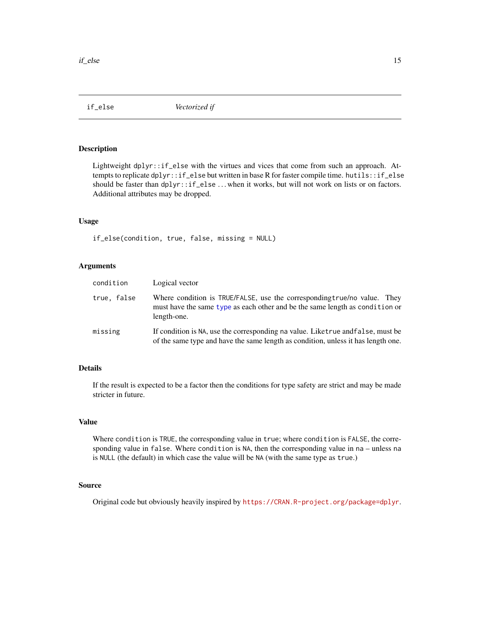<span id="page-14-0"></span>

Lightweight dplyr::if\_else with the virtues and vices that come from such an approach. Attempts to replicate dplyr::if\_else but written in base R for faster compile time. hutils::if\_else should be faster than dplyr::if\_else ...when it works, but will not work on lists or on factors. Additional attributes may be dropped.

#### Usage

if\_else(condition, true, false, missing = NULL)

#### Arguments

| condition   | Logical vector                                                                                                                                                          |
|-------------|-------------------------------------------------------------------------------------------------------------------------------------------------------------------------|
| true, false | Where condition is TRUE/FALSE, use the corresponding true/no value. They<br>must have the same type as each other and be the same length as condition or<br>length-one. |
| missing     | If condition is NA, use the corresponding na value. Liketrue and false, must be<br>of the same type and have the same length as condition, unless it has length one.    |

### Details

If the result is expected to be a factor then the conditions for type safety are strict and may be made stricter in future.

### Value

Where condition is TRUE, the corresponding value in true; where condition is FALSE, the corresponding value in false. Where condition is NA, then the corresponding value in na – unless na is NULL (the default) in which case the value will be NA (with the same type as true.)

### Source

Original code but obviously heavily inspired by <https://CRAN.R-project.org/package=dplyr>.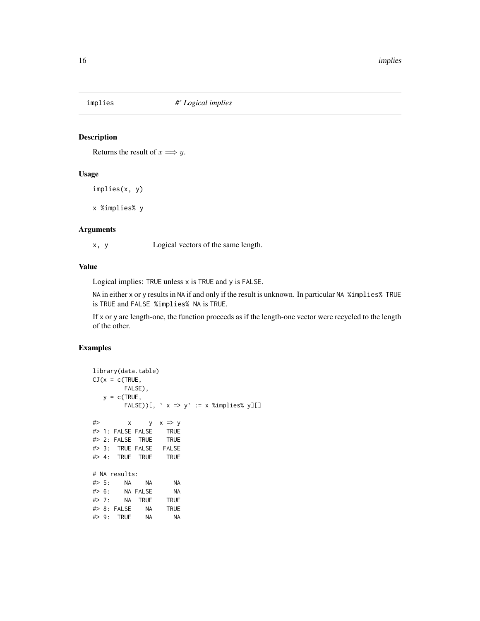<span id="page-15-0"></span>

Returns the result of  $x \Longrightarrow y$ .

### Usage

implies(x, y)

x %implies% y

### Arguments

x, y Logical vectors of the same length.

### Value

Logical implies: TRUE unless x is TRUE and y is FALSE.

NA in either x or y results in NA if and only if the result is unknown. In particular NA %implies% TRUE is TRUE and FALSE %implies% NA is TRUE.

If x or y are length-one, the function proceeds as if the length-one vector were recycled to the length of the other.

#### Examples

```
library(data.table)
CJ(x = c(TRUE,FALSE),
  y = c(TRUE,
       FALSE))[, ` x => y` := x %implies% y][]
#> x y x => y
#> 1: FALSE FALSE TRUE
#> 2: FALSE TRUE TRUE
#> 3: TRUE FALSE FALSE
#> 4: TRUE TRUE TRUE
# NA results:
#> 5: NA NA NA
#> 6: NA FALSE NA
#> 7: NA TRUE TRUE
#> 8: FALSE NA TRUE
#> 9: TRUE NA NA
```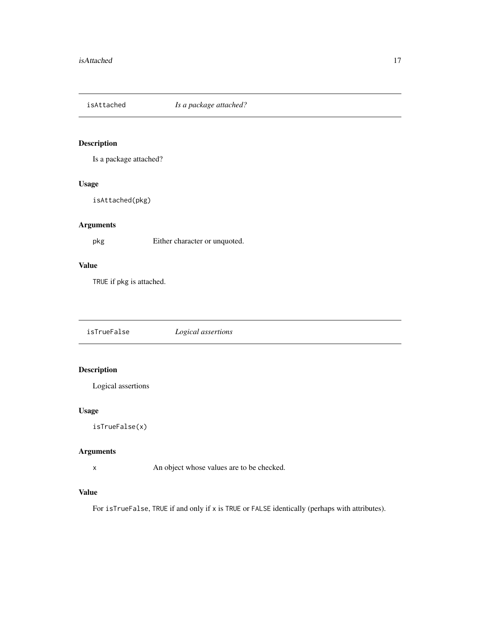<span id="page-16-0"></span>isAttached *Is a package attached?*

### Description

Is a package attached?

### Usage

isAttached(pkg)

### Arguments

pkg Either character or unquoted.

### Value

TRUE if pkg is attached.

isTrueFalse *Logical assertions*

### Description

Logical assertions

#### Usage

isTrueFalse(x)

### Arguments

x An object whose values are to be checked.

#### Value

For isTrueFalse, TRUE if and only if x is TRUE or FALSE identically (perhaps with attributes).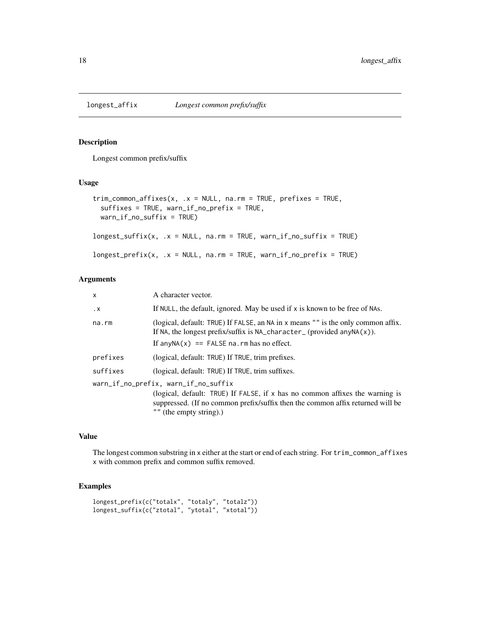<span id="page-17-0"></span>Longest common prefix/suffix

#### Usage

```
trim_common_affixes(x, .x = NULL, na.rm = TRUE, prefixes = TRUE,
  suffixes = TRUE, warn_if_no_prefix = TRUE,
 warn_if_no_suffix = TRUE)
longest\_suffix(x, .x = NULL, na.rm = TRUE, warn_i f_no\_suffix = TRUE)longest\_prefix(x, .x = NULL, na.rm = TRUE, warn\_if\_no\_prefix = TRUE)
```
#### Arguments

| $\times$  | A character vector.                                                                                                                                                                             |
|-----------|-------------------------------------------------------------------------------------------------------------------------------------------------------------------------------------------------|
| $\cdot$ X | If NULL, the default, ignored. May be used if x is known to be free of NAs.                                                                                                                     |
| na.rm     | (logical, default: TRUE) If FALSE, an NA in x means "" is the only common affix.<br>If NA, the longest prefix/suffix is $NA_{\text{c}}$ character <sub>(provided any NA<math>(x)</math>).</sub> |
|           | If $anyNA(x) == FALSE na$ . rm has no effect.                                                                                                                                                   |
| prefixes  | (logical, default: TRUE) If TRUE, trim prefixes.                                                                                                                                                |
| suffixes  | (logical, default: TRUE) If TRUE, trim suffixes.                                                                                                                                                |
|           | warn_if_no_prefix, warn_if_no_suffix                                                                                                                                                            |
|           | (logical, default: TRUE) If FALSE, if x has no common affixes the warning is<br>suppressed. (If no common prefix/suffix then the common affix returned will be<br>$"$ " (the empty string).)    |

#### Value

The longest common substring in x either at the start or end of each string. For trim\_common\_affixes x with common prefix and common suffix removed.

#### Examples

```
longest_prefix(c("totalx", "totaly", "totalz"))
longest_suffix(c("ztotal", "ytotal", "xtotal"))
```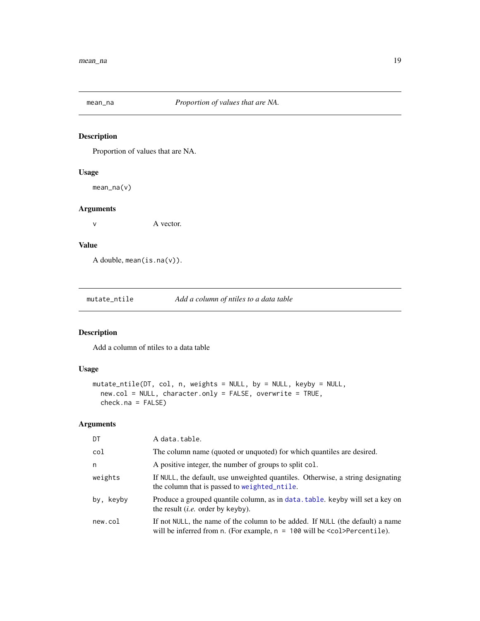<span id="page-18-0"></span>

Proportion of values that are NA.

### Usage

mean\_na(v)

### Arguments

v A vector.

### Value

A double, mean(is.na(v)).

mutate\_ntile *Add a column of ntiles to a data table*

### Description

Add a column of ntiles to a data table

### Usage

```
mutate_ntile(DT, col, n, weights = NULL, by = NULL, keyby = NULL,
 new.col = NULL, character.only = FALSE, overwrite = TRUE,
  check.na = FALSE)
```
### Arguments

| DT        | A data.table.                                                                                                                                                    |
|-----------|------------------------------------------------------------------------------------------------------------------------------------------------------------------|
| col       | The column name (quoted or unquoted) for which quantiles are desired.                                                                                            |
| n         | A positive integer, the number of groups to split col.                                                                                                           |
| weights   | If NULL, the default, use unweighted quantiles. Otherwise, a string designating<br>the column that is passed to weighted_ntile.                                  |
| by, keyby | Produce a grouped quantile column, as in data, table, keyby will set a key on<br>the result <i>(i.e.</i> order by keyby).                                        |
| new.col   | If not NULL, the name of the column to be added. If NULL (the default) a name<br>will be inferred from n. (For example, $n = 100$ will be $\le$ col>Percentile). |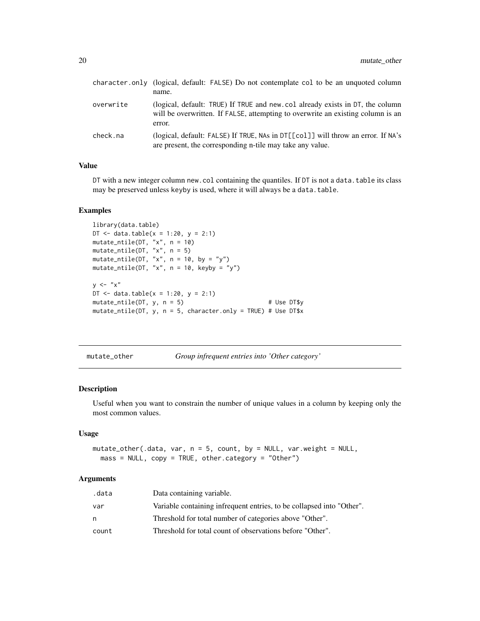<span id="page-19-0"></span>

|           | character.only (logical, default: FALSE) Do not contemplate col to be an unquoted column<br>name.                                                                          |
|-----------|----------------------------------------------------------------------------------------------------------------------------------------------------------------------------|
| overwrite | (logical, default: TRUE) If TRUE and new.col already exists in DT, the column<br>will be overwritten. If FALSE, attempting to overwrite an existing column is an<br>error. |
| check.na  | (logical, default: FALSE) If TRUE, NAs in DT[[col]] will throw an error. If NA's<br>are present, the corresponding n-tile may take any value.                              |

DT with a new integer column new.col containing the quantiles. If DT is not a data.table its class may be preserved unless keyby is used, where it will always be a data.table.

#### Examples

```
library(data.table)
DT <- data.table(x = 1:20, y = 2:1)
mutate_ntile(DT, "x", n = 10)
mutate_ntile(DT, "x", n = 5)
mutate_ntile(DT, "x", n = 10, by = "y")
mutate_ntile(DT, "x", n = 10, keyby = "y")
y \leq - "x"
DT <- data.table(x = 1:20, y = 2:1)
mutate\_ntile(DT, y, n = 5) # Use DT$y
mutate_ntile(DT, y, n = 5, character.only = TRUE) # Use DT$x
```
mutate\_other *Group infrequent entries into 'Other category'*

#### Description

Useful when you want to constrain the number of unique values in a column by keeping only the most common values.

#### Usage

```
mutate_other(.data, var, n = 5, count, by = NULL, var.weight = NULL,
 mass = NULL, copy = TRUE, other.category = "Other")
```
### Arguments

| .data | Data containing variable.                                             |
|-------|-----------------------------------------------------------------------|
| var   | Variable containing infrequent entries, to be collapsed into "Other". |
| n     | Threshold for total number of categories above "Other".               |
| count | Threshold for total count of observations before "Other".             |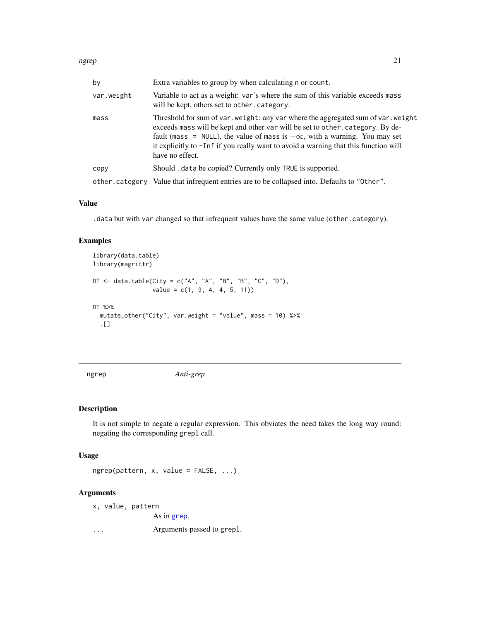<span id="page-20-0"></span>

| by             | Extra variables to group by when calculating n or count.                                                                                                                                                                                                                                                                                                           |
|----------------|--------------------------------------------------------------------------------------------------------------------------------------------------------------------------------------------------------------------------------------------------------------------------------------------------------------------------------------------------------------------|
| var.weight     | Variable to act as a weight: var's where the sum of this variable exceeds mass<br>will be kept, others set to other. category.                                                                                                                                                                                                                                     |
| mass           | Threshold for sum of var. weight: any var where the aggregated sum of var. weight<br>exceeds mass will be kept and other var will be set to other. category. By de-<br>fault (mass = NULL), the value of mass is $-\infty$ , with a warning. You may set<br>it explicitly to -Inf if you really want to avoid a warning that this function will<br>have no effect. |
| CODV           | Should . data be copied? Currently only TRUE is supported.                                                                                                                                                                                                                                                                                                         |
| other.category | Value that infrequent entries are to be collapsed into. Defaults to "0ther".                                                                                                                                                                                                                                                                                       |

.data but with var changed so that infrequent values have the same value (other.category).

### Examples

```
library(data.table)
library(magrittr)
DT \leq - data.table(City = c("A", "A", "B", "B", "C", "D"),
                 value = c(1, 9, 4, 4, 5, 11)DT %>%
  mutate_other("City", var.weight = "value", mass = 10) %>%
  .[]
```
ngrep *Anti-grep*

### Description

It is not simple to negate a regular expression. This obviates the need takes the long way round: negating the corresponding grepl call.

#### Usage

ngrep(pattern, x, value = FALSE, ...)

### Arguments

```
x, value, pattern
```
As in [grep](#page-0-0).

... Arguments passed to grepl.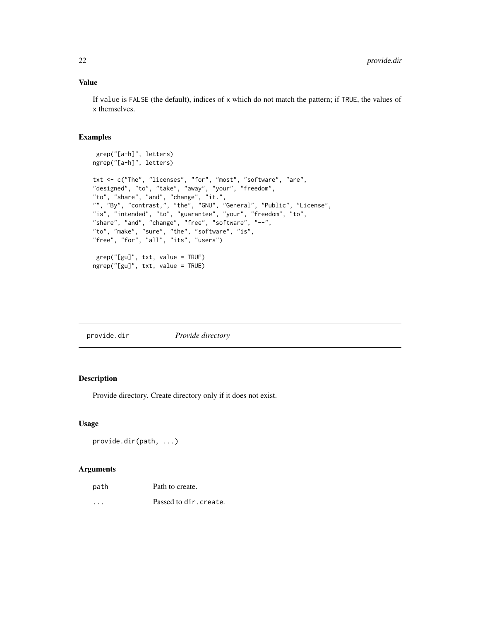<span id="page-21-0"></span>If value is FALSE (the default), indices of x which do not match the pattern; if TRUE, the values of x themselves.

### Examples

```
grep("[a-h]", letters)
ngrep("[a-h]", letters)
txt <- c("The", "licenses", "for", "most", "software", "are",
"designed", "to", "take", "away", "your", "freedom",
"to", "share", "and", "change", "it.",
"", "By", "contrast,", "the", "GNU", "General", "Public", "License",
"is", "intended", "to", "guarantee", "your", "freedom", "to",
"share", "and", "change", "free", "software", "--",
"to", "make", "sure", "the", "software", "is",
"free", "for", "all", "its", "users")
grep("[gu]", txt, value = TRUE)
ngrep("[gu]", txt, value = TRUE)
```
#### Description

Provide directory. Create directory only if it does not exist.

#### Usage

```
provide.dir(path, ...)
```
#### Arguments

| path     | Path to create.        |
|----------|------------------------|
| $\cdots$ | Passed to dir. create. |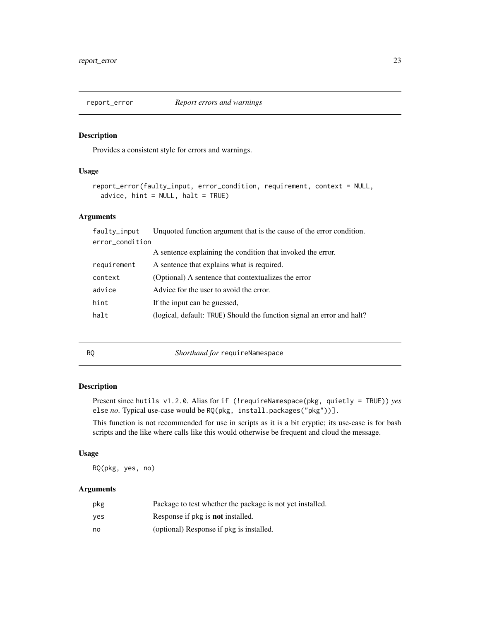<span id="page-22-0"></span>

Provides a consistent style for errors and warnings.

### Usage

```
report_error(faulty_input, error_condition, requirement, context = NULL,
  advice, hint = NULL, halt = TRUE)
```
#### Arguments

| faulty_input    | Unquoted function argument that is the cause of the error condition.   |  |
|-----------------|------------------------------------------------------------------------|--|
| error_condition |                                                                        |  |
|                 | A sentence explaining the condition that invoked the error.            |  |
| requirement     | A sentence that explains what is required.                             |  |
| context         | (Optional) A sentence that contextualizes the error                    |  |
| advice          | Advice for the user to avoid the error.                                |  |
| hint            | If the input can be guessed.                                           |  |
| halt            | (logical, default: TRUE) Should the function signal an error and halt? |  |
|                 |                                                                        |  |

RQ *Shorthand for* requireNamespace

### Description

Present since hutils v1.2.0. Alias for if (!requireNamespace(pkg, quietly = TRUE)) *yes* else *no*. Typical use-case would be RQ(pkg, install.packages("pkg"))].

This function is not recommended for use in scripts as it is a bit cryptic; its use-case is for bash scripts and the like where calls like this would otherwise be frequent and cloud the message.

### Usage

RQ(pkg, yes, no)

#### Arguments

| pkg | Package to test whether the package is not yet installed. |
|-----|-----------------------------------------------------------|
| ves | Response if pkg is <b>not</b> installed.                  |
| no  | (optional) Response if pkg is installed.                  |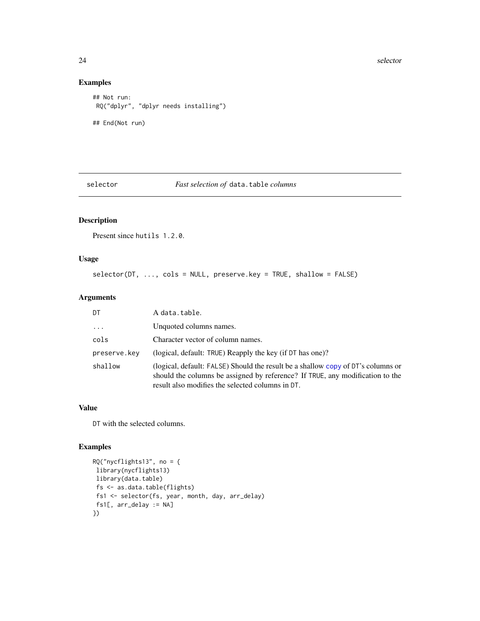#### 24 selector and the selector of the selector of the selector  $\sim$  selector  $\sim$

### Examples

```
## Not run:
RQ("dplyr", "dplyr needs installing")
## End(Not run)
```
#### selector *Fast selection of* data.table *columns*

## Description

Present since hutils 1.2.0.

### Usage

```
selector(DT, ..., cols = NULL, preserve.key = TRUE, shallow = FALSE)
```
### Arguments

| DT                  | A data.table.                                                                                                                                                                                                         |
|---------------------|-----------------------------------------------------------------------------------------------------------------------------------------------------------------------------------------------------------------------|
| $\cdot \cdot \cdot$ | Unquoted columns names.                                                                                                                                                                                               |
| cols                | Character vector of column names.                                                                                                                                                                                     |
| preserve.key        | (logical, default: TRUE) Reapply the key (if DT has one)?                                                                                                                                                             |
| shallow             | (logical, default: FALSE) Should the result be a shallow copy of DT's columns or<br>should the columns be assigned by reference? If TRUE, any modification to the<br>result also modifies the selected columns in DT. |

### Value

DT with the selected columns.

### Examples

```
RQ("nycflights13", no = {library(nycflights13)
library(data.table)
 fs <- as.data.table(flights)
 fs1 <- selector(fs, year, month, day, arr_delay)
fs1[, arr_delay := NA]
})
```
<span id="page-23-0"></span>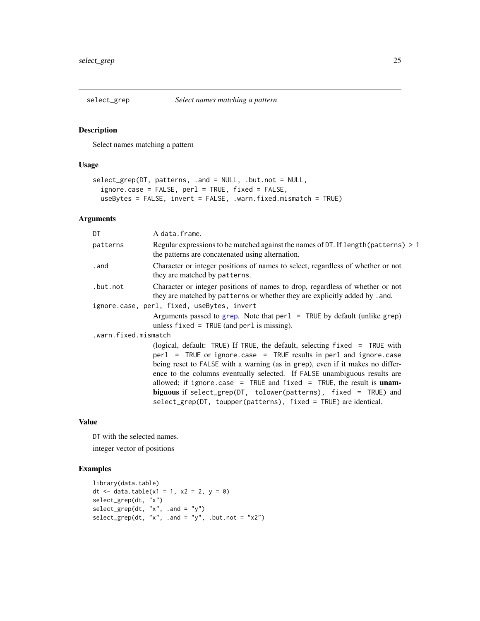<span id="page-24-0"></span>

Select names matching a pattern

### Usage

```
select_grep(DT, patterns, .and = NULL, .but.not = NULL,
  ignore.case = FALSE, perl = TRUE, fixed = FALSE,
 useBytes = FALSE, invert = FALSE, .warn.fixed.mismatch = TRUE)
```
### Arguments

| DT                   | A data.frame.                                                                                                                                                                                                                                                                                                                                                                                                                                                                                                                          |
|----------------------|----------------------------------------------------------------------------------------------------------------------------------------------------------------------------------------------------------------------------------------------------------------------------------------------------------------------------------------------------------------------------------------------------------------------------------------------------------------------------------------------------------------------------------------|
| patterns             | Regular expressions to be matched against the names of DT. If length (patterns) > 1<br>the patterns are concatenated using alternation.                                                                                                                                                                                                                                                                                                                                                                                                |
| . and                | Character or integer positions of names to select, regardless of whether or not<br>they are matched by patterns.                                                                                                                                                                                                                                                                                                                                                                                                                       |
| .but.not             | Character or integer positions of names to drop, regardless of whether or not<br>they are matched by patterns or whether they are explicitly added by .and.                                                                                                                                                                                                                                                                                                                                                                            |
|                      | ignore.case, perl, fixed, useBytes, invert                                                                                                                                                                                                                                                                                                                                                                                                                                                                                             |
|                      | Arguments passed to grep. Note that $per1$ = TRUE by default (unlike grep)<br>unless $fixed = TRUE$ (and perl is missing).                                                                                                                                                                                                                                                                                                                                                                                                             |
| .warn.fixed.mismatch |                                                                                                                                                                                                                                                                                                                                                                                                                                                                                                                                        |
|                      | (logical, default: TRUE) If TRUE, the default, selecting fixed = TRUE with<br>$per1$ = TRUE or ignore.case = TRUE results in perl and ignore.case<br>being reset to FALSE with a warning (as in grep), even if it makes no differ-<br>ence to the columns eventually selected. If FALSE unambiguous results are<br>allowed; if ignore.case = TRUE and $fixed$ = TRUE, the result is $unam$ -<br>biguous if select_grep( $DT$ , tolower(patterns), fixed = TRUE) and<br>select_grep(DT, toupper(patterns), fixed = TRUE) are identical. |
|                      |                                                                                                                                                                                                                                                                                                                                                                                                                                                                                                                                        |

### Value

DT with the selected names. integer vector of positions

### Examples

```
library(data.table)
dt <- data.table(x1 = 1, x2 = 2, y = 0)
select_grep(dt, "x")
select\_grey(dt, "x", .and = "y")select\_grey(dt, "x", .and = "y", .but not = "x2")
```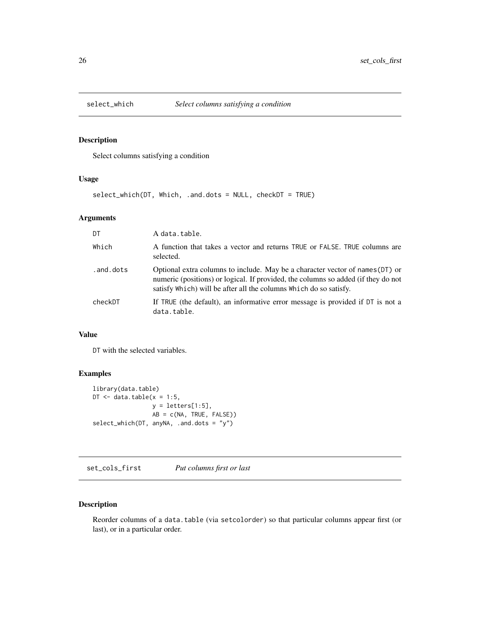<span id="page-25-0"></span>

Select columns satisfying a condition

#### Usage

select\_which(DT, Which, .and.dots = NULL, checkDT = TRUE)

### Arguments

| DT        | A data.table.                                                                                                                                                                                                                           |
|-----------|-----------------------------------------------------------------------------------------------------------------------------------------------------------------------------------------------------------------------------------------|
| Which     | A function that takes a vector and returns TRUE or FALSE. TRUE columns are<br>selected.                                                                                                                                                 |
| .and.dots | Optional extra columns to include. May be a character vector of names (DT) or<br>numeric (positions) or logical. If provided, the columns so added (if they do not<br>satisfy Which) will be after all the columns Which do so satisfy. |
| checkDT   | If TRUE (the default), an informative error message is provided if DT is not a<br>data.table.                                                                                                                                           |

### Value

DT with the selected variables.

### Examples

```
library(data.table)
DT \leq data.table(x = 1:5,
                 y = letters[1:5],AB = c(NA, TRUE, FALSE))
select_which(DT, anyNA, .and.dots = "y")
```
set\_cols\_first *Put columns first or last*

### Description

Reorder columns of a data.table (via setcolorder) so that particular columns appear first (or last), or in a particular order.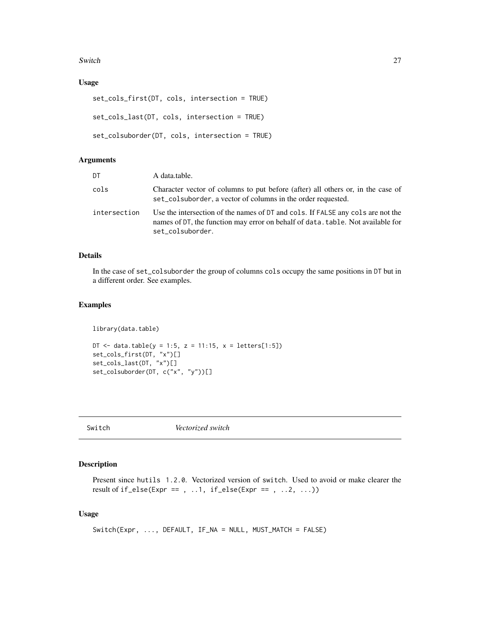#### <span id="page-26-0"></span>Switch 27

### Usage

```
set_cols_first(DT, cols, intersection = TRUE)
set_cols_last(DT, cols, intersection = TRUE)
set_colsuborder(DT, cols, intersection = TRUE)
```
### Arguments

| DT           | A data.table.                                                                                                                                                                          |
|--------------|----------------------------------------------------------------------------------------------------------------------------------------------------------------------------------------|
| cols         | Character vector of columns to put before (after) all others or, in the case of<br>set_colsuborder, a vector of columns in the order requested.                                        |
| intersection | Use the intersection of the names of DT and cols. If FALSE any cols are not the<br>names of DT, the function may error on behalf of data. table. Not available for<br>set_colsuborder. |

### Details

In the case of set\_colsuborder the group of columns cols occupy the same positions in DT but in a different order. See examples.

### Examples

library(data.table)

DT <- data.table(y = 1:5, z = 11:15, x = letters[1:5]) set\_cols\_first(DT, "x")[] set\_cols\_last(DT, "x")[] set\_colsuborder(DT, c("x", "y"))[]

Switch *Vectorized switch*

### Description

Present since hutils 1.2.0. Vectorized version of switch. Used to avoid or make clearer the result of if\_else(Expr == , ..1, if\_else(Expr == , ..2, ...))

### Usage

```
Switch(Expr, ..., DEFAULT, IF_NA = NULL, MUST_MATCH = FALSE)
```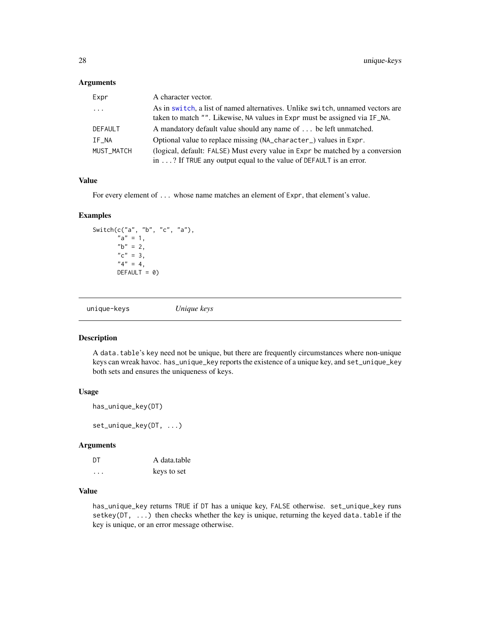#### <span id="page-27-0"></span>Arguments

| Expr                    | A character vector.                                                                                                                                          |
|-------------------------|--------------------------------------------------------------------------------------------------------------------------------------------------------------|
| $\cdot$ $\cdot$ $\cdot$ | As in switch, a list of named alternatives. Unlike switch, unnamed vectors are<br>taken to match "". Likewise, NA values in Expr must be assigned via IF_NA. |
| DEFAULT                 | A mandatory default value should any name of  be left unmatched.                                                                                             |
| IF_NA                   | Optional value to replace missing (NA_character_) values in Expr.                                                                                            |
| MUST MATCH              | (logical, default: FALSE) Must every value in Expr be matched by a conversion<br>in $\ldots$ ? If TRUE any output equal to the value of DEFAULT is an error. |

### Value

For every element of ... whose name matches an element of Expr, that element's value.

### Examples

```
Switch(c("a", "b", "c", "a"),
      "a" = 1,nb" = 2,"c" = 3,"4" = 4,DEFAULT = 0)
```

| unique-keys | Unique keys |  |
|-------------|-------------|--|
|             |             |  |

#### Description

A data.table's key need not be unique, but there are frequently circumstances where non-unique keys can wreak havoc. has\_unique\_key reports the existence of a unique key, and set\_unique\_key both sets and ensures the uniqueness of keys.

#### Usage

```
has_unique_key(DT)
```
set\_unique\_key(DT, ...)

#### Arguments

| DT | A data.table |
|----|--------------|
|    | keys to set  |

### Value

has\_unique\_key returns TRUE if DT has a unique key, FALSE otherwise. set\_unique\_key runs setkey( $DT$ , ...) then checks whether the key is unique, returning the keyed data.table if the key is unique, or an error message otherwise.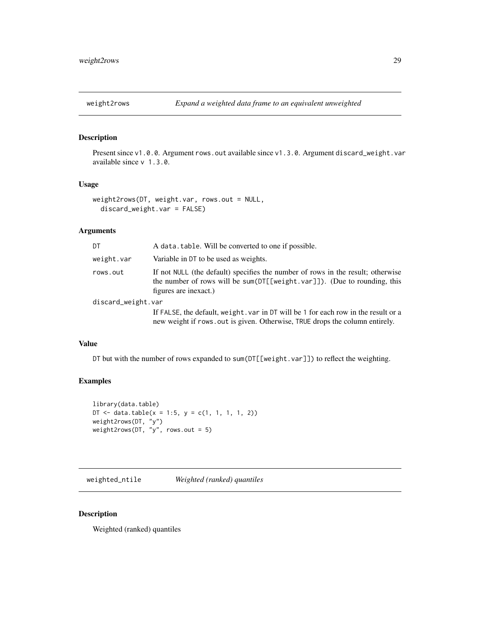<span id="page-28-0"></span>

Present since v1.0.0. Argument rows.out available since v1.3.0. Argument discard\_weight.var available since v 1.3.0.

#### Usage

```
weight2rows(DT, weight.var, rows.out = NULL,
  discard_weight.var = FALSE)
```
### Arguments

| DT                 | A data, table. Will be converted to one if possible.                                                                                                                                     |
|--------------------|------------------------------------------------------------------------------------------------------------------------------------------------------------------------------------------|
| weight.var         | Variable in DT to be used as weights.                                                                                                                                                    |
| rows.out           | If not NULL (the default) specifies the number of rows in the result; otherwise<br>the number of rows will be sum( $DT[[weight.var]]$ ). (Due to rounding, this<br>figures are inexact.) |
| discard_weight.var |                                                                                                                                                                                          |
|                    | If FALSE, the default, weight, var in DT will be 1 for each row in the result or a<br>new weight if rows out is given. Otherwise, TRUE drops the column entirely.                        |

#### Value

DT but with the number of rows expanded to sum(DT[[weight.var]]) to reflect the weighting.

### Examples

```
library(data.table)
DT <- data.table(x = 1:5, y = c(1, 1, 1, 1, 2))
weight2rows(DT, "y")
weight2rows(DT, "y", rows.out = 5)
```
<span id="page-28-1"></span>weighted\_ntile *Weighted (ranked) quantiles*

#### Description

Weighted (ranked) quantiles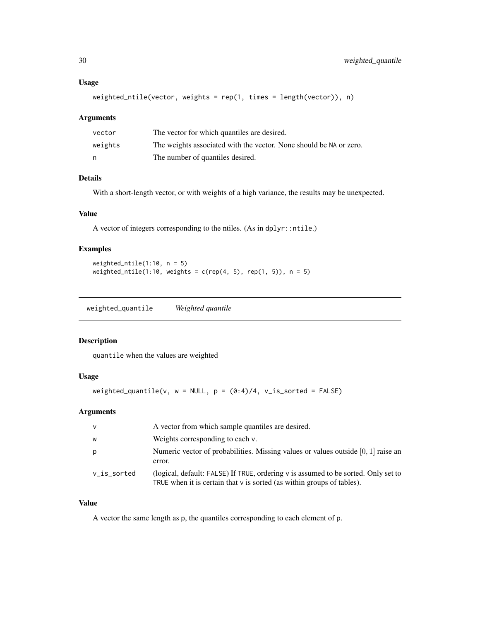#### <span id="page-29-0"></span>Usage

```
weighted_ntile(vector, weights = rep(1, times = length(vector)), n)
```
#### Arguments

| vector  | The vector for which quantiles are desired.                        |
|---------|--------------------------------------------------------------------|
| weights | The weights associated with the vector. None should be NA or zero. |
| n       | The number of quantiles desired.                                   |

#### Details

With a short-length vector, or with weights of a high variance, the results may be unexpected.

### Value

A vector of integers corresponding to the ntiles. (As in dplyr::ntile.)

#### Examples

```
weighted_ntile(1:10, n = 5)weighted_ntile(1:10, weights = c(rep(4, 5), rep(1, 5)), n = 5)
```
weighted\_quantile *Weighted quantile*

### Description

quantile when the values are weighted

#### Usage

weighted\_quantile(v,  $w = NULL$ ,  $p = (0:4)/4$ , v\_is\_sorted = FALSE)

### Arguments

| $\vee$      | A vector from which sample quantiles are desired.                                                                                                                |
|-------------|------------------------------------------------------------------------------------------------------------------------------------------------------------------|
| W           | Weights corresponding to each v.                                                                                                                                 |
| р           | Numeric vector of probabilities. Missing values or values outside $[0, 1]$ raise an<br>error.                                                                    |
| v_is_sorted | (logical, default: FALSE) If TRUE, ordering v is assumed to be sorted. Only set to<br>TRUE when it is certain that $\nu$ is sorted (as within groups of tables). |

### Value

A vector the same length as p, the quantiles corresponding to each element of p.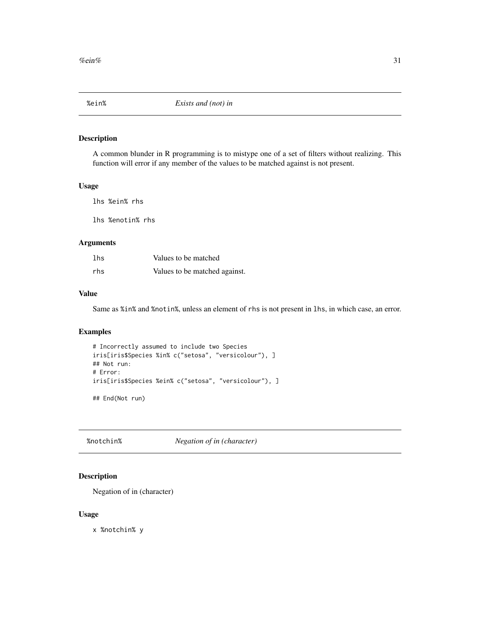<span id="page-30-0"></span>

A common blunder in R programming is to mistype one of a set of filters without realizing. This function will error if any member of the values to be matched against is not present.

#### Usage

lhs %ein% rhs

lhs %enotin% rhs

### Arguments

| lhs | Values to be matched          |
|-----|-------------------------------|
| rhs | Values to be matched against. |

### Value

Same as %in% and %notin%, unless an element of rhs is not present in lhs, in which case, an error.

### Examples

```
# Incorrectly assumed to include two Species
iris[iris$Species %in% c("setosa", "versicolour"), ]
## Not run:
# Error:
iris[iris$Species %ein% c("setosa", "versicolour"), ]
## End(Not run)
```
%notchin% *Negation of in (character)*

#### Description

Negation of in (character)

#### Usage

x %notchin% y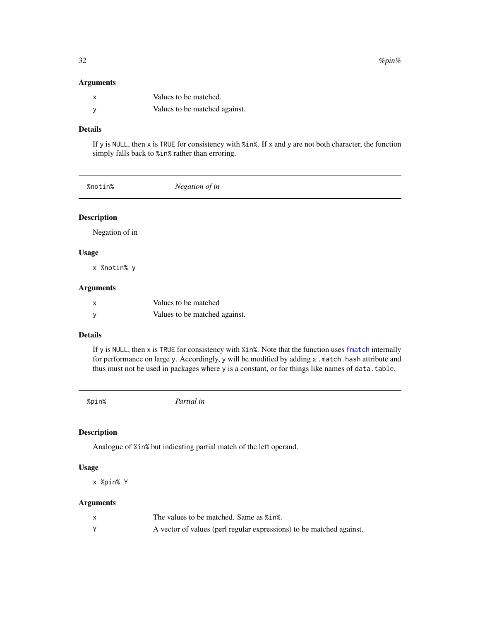#### Arguments

| Values to be matched.         |
|-------------------------------|
| Values to be matched against. |

### Details

If y is NULL, then x is TRUE for consistency with %in%. If x and y are not both character, the function simply falls back to %in% rather than erroring.

| Negation of in<br>%notin% |  |
|---------------------------|--|
|---------------------------|--|

### Description

Negation of in

#### Usage

x %notin% y

#### Arguments

| x | Values to be matched          |
|---|-------------------------------|
|   | Values to be matched against. |

### Details

If y is NULL, then x is TRUE for consistency with %in%. Note that the function uses [fmatch](#page-0-0) internally for performance on large y. Accordingly, y will be modified by adding a .match.hash attribute and thus must not be used in packages where y is a constant, or for things like names of data.table.

| . . |  |  |
|-----|--|--|
|     |  |  |
|     |  |  |

%pin% *Partial in*

### Description

Analogue of %in% but indicating partial match of the left operand.

### Usage

x %pin% Y

### Arguments

| The values to be matched. Same as % in.                              |
|----------------------------------------------------------------------|
| A vector of values (perl regular expressions) to be matched against. |

<span id="page-31-0"></span>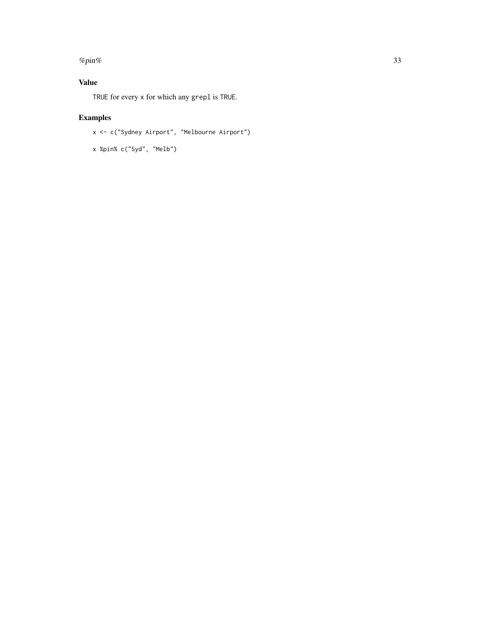#### %  $p_{\text{min}}$ % 33

### Value

TRUE for every x for which any grepl is TRUE.

## Examples

```
x <- c("Sydney Airport", "Melbourne Airport")
```
x %pin% c("Syd", "Melb")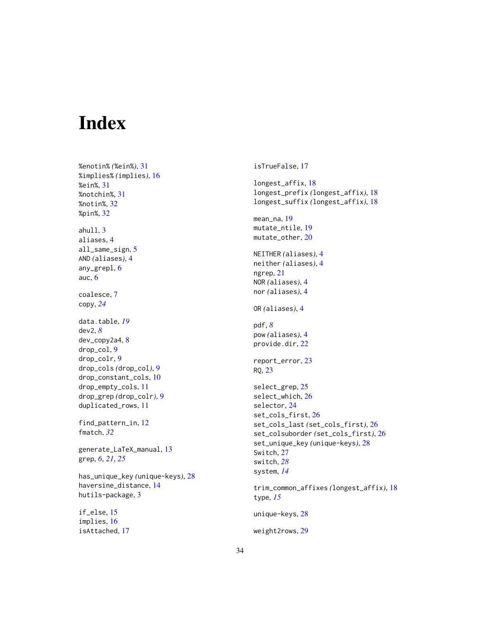# <span id="page-33-0"></span>Index

%enotin% *(*%ein%*)*, [31](#page-30-0) %implies% *(*implies*)*, [16](#page-15-0) %ein%, [31](#page-30-0) %notchin%, [31](#page-30-0) %notin%, [32](#page-31-0) %pin%, [32](#page-31-0) ahull, [3](#page-2-0) aliases, [4](#page-3-0) all\_same\_sign, [5](#page-4-0) AND *(*aliases*)*, [4](#page-3-0) any\_grepl, [6](#page-5-0) auc, [6](#page-5-0) coalesce, [7](#page-6-0) copy, *[24](#page-23-0)* data.table, *[19](#page-18-0)* dev2, *[8](#page-7-0)* dev\_copy2a4, [8](#page-7-0) drop\_col, [9](#page-8-0) drop\_colr, [9](#page-8-0) drop\_cols *(*drop\_col*)*, [9](#page-8-0) drop\_constant\_cols, [10](#page-9-0) drop\_empty\_cols, [11](#page-10-0) drop\_grep *(*drop\_colr*)*, [9](#page-8-0) duplicated\_rows, [11](#page-10-0) find\_pattern\_in, [12](#page-11-0) fmatch, *[32](#page-31-0)* generate\_LaTeX\_manual, [13](#page-12-0) grep, *[6](#page-5-0)*, *[21](#page-20-0)*, *[25](#page-24-0)* has\_unique\_key *(*unique-keys*)*, [28](#page-27-0) haversine\_distance, [14](#page-13-0) hutils-package, [3](#page-2-0) if\_else, [15](#page-14-0) implies, [16](#page-15-0)

isAttached, [17](#page-16-0)

isTrueFalse, [17](#page-16-0) longest\_affix, [18](#page-17-0) longest\_prefix *(*longest\_affix*)*, [18](#page-17-0) longest\_suffix *(*longest\_affix*)*, [18](#page-17-0) mean\_na, [19](#page-18-0) mutate\_ntile, [19](#page-18-0) mutate\_other, [20](#page-19-0) NEITHER *(*aliases*)*, [4](#page-3-0) neither *(*aliases*)*, [4](#page-3-0) ngrep, [21](#page-20-0) NOR *(*aliases*)*, [4](#page-3-0) nor *(*aliases*)*, [4](#page-3-0) OR *(*aliases*)*, [4](#page-3-0) pdf, *[8](#page-7-0)* pow *(*aliases*)*, [4](#page-3-0) provide.dir, [22](#page-21-0) report\_error, [23](#page-22-0) RQ, [23](#page-22-0) select\_grep, [25](#page-24-0) select\_which, [26](#page-25-0) selector, [24](#page-23-0) set\_cols\_first, [26](#page-25-0) set\_cols\_last *(*set\_cols\_first*)*, [26](#page-25-0) set\_colsuborder *(*set\_cols\_first*)*, [26](#page-25-0) set\_unique\_key *(*unique-keys*)*, [28](#page-27-0) Switch, [27](#page-26-0) switch, *[28](#page-27-0)* system, *[14](#page-13-0)* trim\_common\_affixes *(*longest\_affix*)*, [18](#page-17-0) type, *[15](#page-14-0)* unique-keys, [28](#page-27-0) weight2rows, [29](#page-28-0)